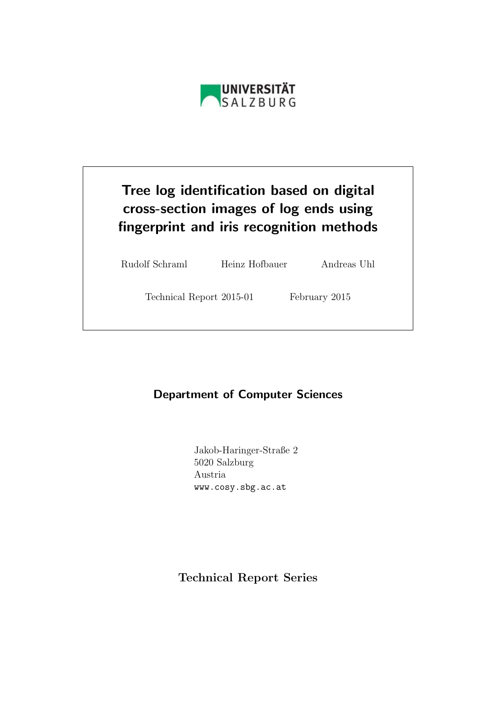

# Tree log identification based on digital cross-section images of log ends using fingerprint and iris recognition methods

Rudolf Schraml Heinz Hofbauer Andreas Uhl

Technical Report 2015-01 February 2015

## Department of Computer Sciences

Jakob-Haringer-Straße 2 5020 Salzburg Austria www.cosy.sbg.ac.at

Technical Report Series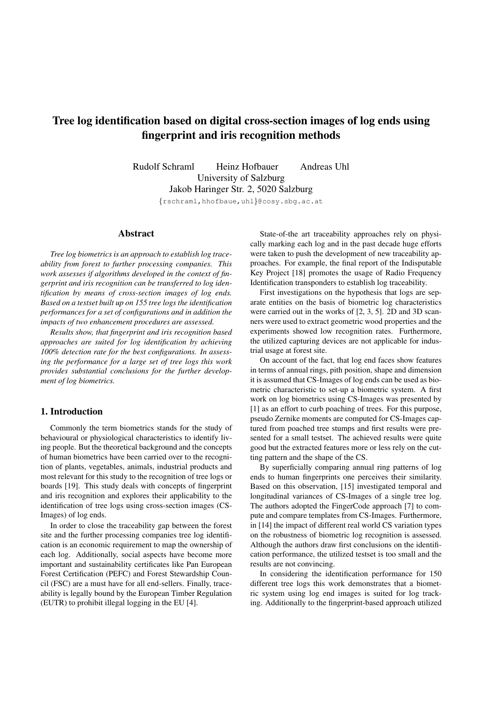### Tree log identification based on digital cross-section images of log ends using fingerprint and iris recognition methods

Rudolf Schraml Heinz Hofbauer Andreas Uhl University of Salzburg Jakob Haringer Str. 2, 5020 Salzburg

{rschraml,hhofbaue,uhl}@cosy.sbg.ac.at

#### Abstract

*Tree log biometrics is an approach to establish log traceability from forest to further processing companies. This work assesses if algorithms developed in the context of fingerprint and iris recognition can be transferred to log identification by means of cross-section images of log ends. Based on a testset built up on 155 tree logs the identification performances for a set of configurations and in addition the impacts of two enhancement procedures are assessed.*

*Results show, that fingerprint and iris recognition based approaches are suited for log identification by achieving 100% detection rate for the best configurations. In assessing the performance for a large set of tree logs this work provides substantial conclusions for the further development of log biometrics.*

#### 1. Introduction

Commonly the term biometrics stands for the study of behavioural or physiological characteristics to identify living people. But the theoretical background and the concepts of human biometrics have been carried over to the recognition of plants, vegetables, animals, industrial products and most relevant for this study to the recognition of tree logs or boards [19]. This study deals with concepts of fingerprint and iris recognition and explores their applicability to the identification of tree logs using cross-section images (CS-Images) of log ends.

In order to close the traceability gap between the forest site and the further processing companies tree log identification is an economic requirement to map the ownership of each log. Additionally, social aspects have become more important and sustainability certificates like Pan European Forest Certification (PEFC) and Forest Stewardship Council (FSC) are a must have for all end-sellers. Finally, traceability is legally bound by the European Timber Regulation (EUTR) to prohibit illegal logging in the EU [4].

State-of-the art traceability approaches rely on physically marking each log and in the past decade huge efforts were taken to push the development of new traceability approaches. For example, the final report of the Indisputable Key Project [18] promotes the usage of Radio Frequency Identification transponders to establish log traceability.

First investigations on the hypothesis that logs are separate entities on the basis of biometric log characteristics were carried out in the works of [2, 3, 5]. 2D and 3D scanners were used to extract geometric wood properties and the experiments showed low recognition rates. Furthermore, the utilized capturing devices are not applicable for industrial usage at forest site.

On account of the fact, that log end faces show features in terms of annual rings, pith position, shape and dimension it is assumed that CS-Images of log ends can be used as biometric characteristic to set-up a biometric system. A first work on log biometrics using CS-Images was presented by [1] as an effort to curb poaching of trees. For this purpose, pseudo Zernike moments are computed for CS-Images captured from poached tree stumps and first results were presented for a small testset. The achieved results were quite good but the extracted features more or less rely on the cutting pattern and the shape of the CS.

By superficially comparing annual ring patterns of log ends to human fingerprints one perceives their similarity. Based on this observation, [15] investigated temporal and longitudinal variances of CS-Images of a single tree log. The authors adopted the FingerCode approach [7] to compute and compare templates from CS-Images. Furthermore, in [14] the impact of different real world CS variation types on the robustness of biometric log recognition is assessed. Although the authors draw first conclusions on the identification performance, the utilized testset is too small and the results are not convincing.

In considering the identification performance for 150 different tree logs this work demonstrates that a biometric system using log end images is suited for log tracking. Additionally to the fingerprint-based approach utilized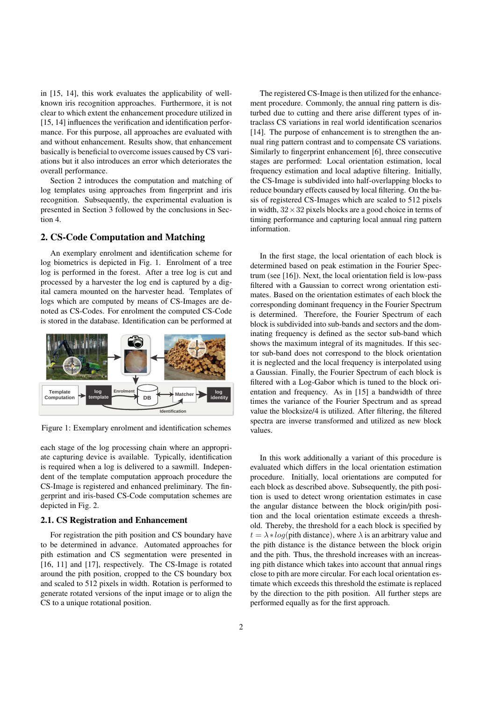in [15, 14], this work evaluates the applicability of wellknown iris recognition approaches. Furthermore, it is not clear to which extent the enhancement procedure utilized in [15, 14] influences the verification and identification performance. For this purpose, all approaches are evaluated with and without enhancement. Results show, that enhancement basically is beneficial to overcome issues caused by CS variations but it also introduces an error which deteriorates the overall performance.

Section 2 introduces the computation and matching of log templates using approaches from fingerprint and iris recognition. Subsequently, the experimental evaluation is presented in Section 3 followed by the conclusions in Section 4.

#### 2. CS-Code Computation and Matching

An exemplary enrolment and identification scheme for log biometrics is depicted in Fig. 1. Enrolment of a tree log is performed in the forest. After a tree log is cut and processed by a harvester the log end is captured by a digital camera mounted on the harvester head. Templates of logs which are computed by means of CS-Images are denoted as CS-Codes. For enrolment the computed CS-Code is stored in the database. Identification can be performed at



Figure 1: Exemplary enrolment and identification schemes

each stage of the log processing chain where an appropriate capturing device is available. Typically, identification is required when a log is delivered to a sawmill. Independent of the template computation approach procedure the CS-Image is registered and enhanced preliminary. The fingerprint and iris-based CS-Code computation schemes are depicted in Fig. 2.

#### 2.1. CS Registration and Enhancement

For registration the pith position and CS boundary have to be determined in advance. Automated approaches for pith estimation and CS segmentation were presented in [16, 11] and [17], respectively. The CS-Image is rotated around the pith position, cropped to the CS boundary box and scaled to 512 pixels in width. Rotation is performed to generate rotated versions of the input image or to align the CS to a unique rotational position.

The registered CS-Image is then utilized for the enhancement procedure. Commonly, the annual ring pattern is disturbed due to cutting and there arise different types of intraclass CS variations in real world identification scenarios [14]. The purpose of enhancement is to strengthen the annual ring pattern contrast and to compensate CS variations. Similarly to fingerprint enhancement [6], three consecutive stages are performed: Local orientation estimation, local frequency estimation and local adaptive filtering. Initially, the CS-Image is subdivided into half-overlapping blocks to reduce boundary effects caused by local filtering. On the basis of registered CS-Images which are scaled to 512 pixels in width,  $32 \times 32$  pixels blocks are a good choice in terms of timing performance and capturing local annual ring pattern information.

In the first stage, the local orientation of each block is determined based on peak estimation in the Fourier Spectrum (see [16]). Next, the local orientation field is low-pass filtered with a Gaussian to correct wrong orientation estimates. Based on the orientation estimates of each block the corresponding dominant frequency in the Fourier Spectrum is determined. Therefore, the Fourier Spectrum of each block is subdivided into sub-bands and sectors and the dominating frequency is defined as the sector sub-band which shows the maximum integral of its magnitudes. If this sector sub-band does not correspond to the block orientation it is neglected and the local frequency is interpolated using a Gaussian. Finally, the Fourier Spectrum of each block is filtered with a Log-Gabor which is tuned to the block orientation and frequency. As in [15] a bandwidth of three times the variance of the Fourier Spectrum and as spread value the blocksize/4 is utilized. After filtering, the filtered spectra are inverse transformed and utilized as new block values.

In this work additionally a variant of this procedure is evaluated which differs in the local orientation estimation procedure. Initially, local orientations are computed for each block as described above. Subsequently, the pith position is used to detect wrong orientation estimates in case the angular distance between the block origin/pith position and the local orientation estimate exceeds a threshold. Thereby, the threshold for a each block is specified by  $t = \lambda * log(\text{pi}t \text{h} \text{ distance})$ , where  $\lambda$  is an arbitrary value and the pith distance is the distance between the block origin and the pith. Thus, the threshold increases with an increasing pith distance which takes into account that annual rings close to pith are more circular. For each local orientation estimate which exceeds this threshold the estimate is replaced by the direction to the pith position. All further steps are performed equally as for the first approach.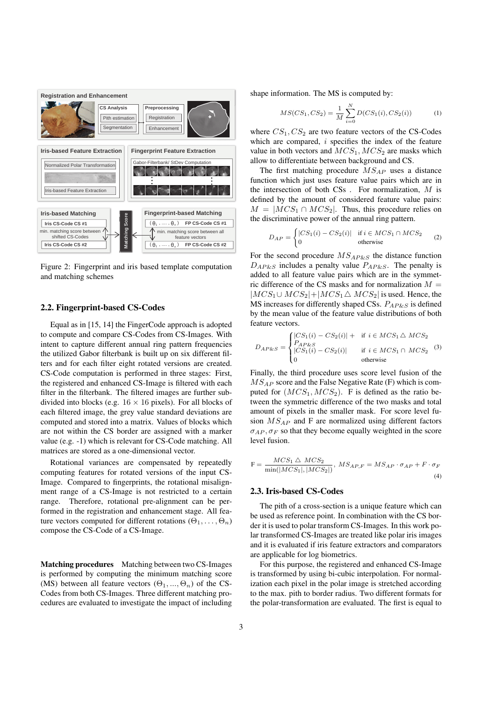

Figure 2: Fingerprint and iris based template computation and matching schemes

#### 2.2. Fingerprint-based CS-Codes

Equal as in [15, 14] the FingerCode approach is adopted to compute and compare CS-Codes from CS-Images. With intent to capture different annual ring pattern frequencies the utilized Gabor filterbank is built up on six different filters and for each filter eight rotated versions are created. CS-Code computation is performed in three stages: First, the registered and enhanced CS-Image is filtered with each filter in the filterbank. The filtered images are further subdivided into blocks (e.g.  $16 \times 16$  pixels). For all blocks of each filtered image, the grey value standard deviations are computed and stored into a matrix. Values of blocks which are not within the CS border are assigned with a marker value (e.g. -1) which is relevant for CS-Code matching. All matrices are stored as a one-dimensional vector.

Rotational variances are compensated by repeatedly computing features for rotated versions of the input CS-Image. Compared to fingerprints, the rotational misalignment range of a CS-Image is not restricted to a certain range. Therefore, rotational pre-alignment can be performed in the registration and enhancement stage. All feature vectors computed for different rotations  $(\Theta_1, \ldots, \Theta_n)$ compose the CS-Code of a CS-Image.

Matching procedures Matching between two CS-Images is performed by computing the minimum matching score (MS) between all feature vectors  $(\Theta_1, ..., \Theta_n)$  of the CS-Codes from both CS-Images. Three different matching procedures are evaluated to investigate the impact of including shape information. The MS is computed by:

$$
MS(CS_1, CS_2) = \frac{1}{M} \sum_{i=0}^{N} D(CS_1(i), CS_2(i))
$$
 (1)

where  $CS_1, CS_2$  are two feature vectors of the CS-Codes which are compared,  $i$  specifies the index of the feature value in both vectors and  $MCS_1, MCS_2$  are masks which allow to differentiate between background and CS.

The first matching procedure  $MS_{AP}$  uses a distance function which just uses feature value pairs which are in the intersection of both CSs . For normalization, M is defined by the amount of considered feature value pairs:  $M = |MCS_1 \cap MCS_2|$ . Thus, this procedure relies on the discriminative power of the annual ring pattern.

$$
D_{AP} = \begin{cases} |CS_1(i) - CS_2(i)| & \text{if } i \in MCS_1 \cap MCS_2\\ 0 & \text{otherwise} \end{cases}
$$
 (2)

For the second procedure  $MS_{AP\&S}$  the distance function  $D_{AP\&S}$  includes a penalty value  $P_{AP\&S}$ . The penalty is added to all feature value pairs which are in the symmetric difference of the CS masks and for normalization  $M =$  $|MCS_1 \cup MCS_2|+|MCS_1 \triangle MCS_2|$  is used. Hence, the MS increases for differently shaped CSs.  $P_{AP\&S}$  is defined by the mean value of the feature value distributions of both feature vectors.

$$
D_{AP\&S} = \begin{cases} |CS_1(i) - CS_2(i)| + & \text{if } i \in MCS_1 \triangle MCS_2\\ |CS_1(i) - CS_2(i)| & \text{if } i \in MCS_1 \cap MCS_2\\ 0 & \text{otherwise} \end{cases} \quad (3)
$$

Finally, the third procedure uses score level fusion of the  $MS_{AP}$  score and the False Negative Rate (F) which is computed for  $(MCS_1, MCS_2)$ . F is defined as the ratio between the symmetric difference of the two masks and total amount of pixels in the smaller mask. For score level fusion  $MS_{AP}$  and F are normalized using different factors  $\sigma_{AP}, \sigma_F$  so that they become equally weighted in the score level fusion.

$$
F = \frac{MCS_1 \triangle MCS_2}{\min(|MCS_1|, |MCS_2|)}, \, MS_{AP,F} = MS_{AP} \cdot \sigma_{AP} + F \cdot \sigma_F
$$
\n<sup>(4)</sup>

#### 2.3. Iris-based CS-Codes

The pith of a cross-section is a unique feature which can be used as reference point. In combination with the CS border it is used to polar transform CS-Images. In this work polar transformed CS-Images are treated like polar iris images and it is evaluated if iris feature extractors and comparators are applicable for log biometrics.

For this purpose, the registered and enhanced CS-Image is transformed by using bi-cubic interpolation. For normalization each pixel in the polar image is stretched according to the max. pith to border radius. Two different formats for the polar-transformation are evaluated. The first is equal to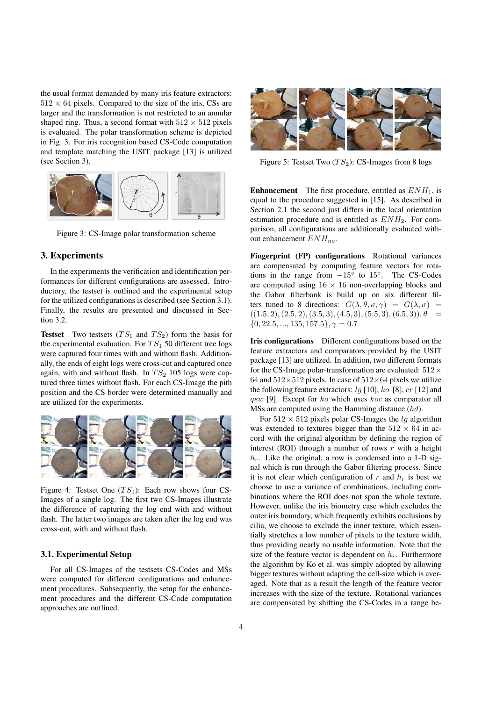the usual format demanded by many iris feature extractors:  $512 \times 64$  pixels. Compared to the size of the iris, CSs are larger and the transformation is not restricted to an annular shaped ring. Thus, a second format with  $512 \times 512$  pixels is evaluated. The polar transformation scheme is depicted in Fig. 3. For iris recognition based CS-Code computation and template matching the USIT package [13] is utilized (see Section 3).



Figure 3: CS-Image polar transformation scheme

#### 3. Experiments

In the experiments the verification and identification performances for different configurations are assessed. Introductory, the testset is outlined and the experimental setup for the utilized configurations is described (see Section 3.1). Finally, the results are presented and discussed in Section 3.2.

**Testset** Two testsets  $(TS_1$  and  $TS_2$ ) form the basis for the experimental evaluation. For  $TS_1$  50 different tree logs were captured four times with and without flash. Additionally, the ends of eight logs were cross-cut and captured once again, with and without flash. In  $TS_2$  105 logs were captured three times without flash. For each CS-Image the pith position and the CS border were determined manually and are utilized for the experiments.



Figure 4: Testset One  $(TS_1)$ : Each row shows four CS-Images of a single log. The first two CS-Images illustrate the difference of capturing the log end with and without flash. The latter two images are taken after the log end was cross-cut, with and without flash.

#### 3.1. Experimental Setup

For all CS-Images of the testsets CS-Codes and MSs were computed for different configurations and enhancement procedures. Subsequently, the setup for the enhancement procedures and the different CS-Code computation approaches are outlined.



Figure 5: Testset Two  $(TS_2)$ : CS-Images from 8 logs

**Enhancement** The first procedure, entitled as  $ENH_1$ , is equal to the procedure suggested in [15]. As described in Section 2.1 the second just differs in the local orientation estimation procedure and is entitled as  $ENH<sub>2</sub>$ . For comparison, all configurations are additionally evaluated without enhancement  $ENH_{no}$ .

Fingerprint (FP) configurations Rotational variances are compensated by computing feature vectors for rotations in the range from  $-15^\circ$  to  $15^\circ$ . The CS-Codes are computed using  $16 \times 16$  non-overlapping blocks and the Gabor filterbank is build up on six different filters tuned to 8 directions:  $G(\lambda, \theta, \sigma, \gamma) = G(\lambda, \sigma) =$  $((1.5, 2), (2.5, 2), (3.5, 3), (4.5, 3), (5.5, 3), (6.5, 3)), \theta =$  $\{0, 22.5, ..., 135, 157.5\}, \gamma = 0.7$ 

Iris configurations Different configurations based on the feature extractors and comparators provided by the USIT package [13] are utilized. In addition, two different formats for the CS-Image polar-transformation are evaluated:  $512 \times$ 64 and  $512\times512$  pixels. In case of  $512\times64$  pixels we utilize the following feature extractors:  $lg$  [10],  $ko$  [8],  $cr$  [12] and qsw [9]. Except for ko which uses koc as comparator all MSs are computed using the Hamming distance (hd).

For  $512 \times 512$  pixels polar CS-Images the lq algorithm was extended to textures bigger than the  $512 \times 64$  in accord with the original algorithm by defining the region of interest (ROI) through a number of rows  $r$  with a height  $h_r$ . Like the original, a row is condensed into a 1-D signal which is run through the Gabor filtering process. Since it is not clear which configuration of r and  $h_r$  is best we choose to use a variance of combinations, including combinations where the ROI does not span the whole texture. However, unlike the iris biometry case which excludes the outer iris boundary, which frequently exhibits occlusions by cilia, we choose to exclude the inner texture, which essentially stretches a low number of pixels to the texture width, thus providing nearly no usable information. Note that the size of the feature vector is dependent on  $h_r$ . Furthermore the algorithm by Ko et al. was simply adopted by allowing bigger textures without adapting the cell-size which is averaged. Note that as a result the length of the feature vector increases with the size of the texture. Rotational variances are compensated by shifting the CS-Codes in a range be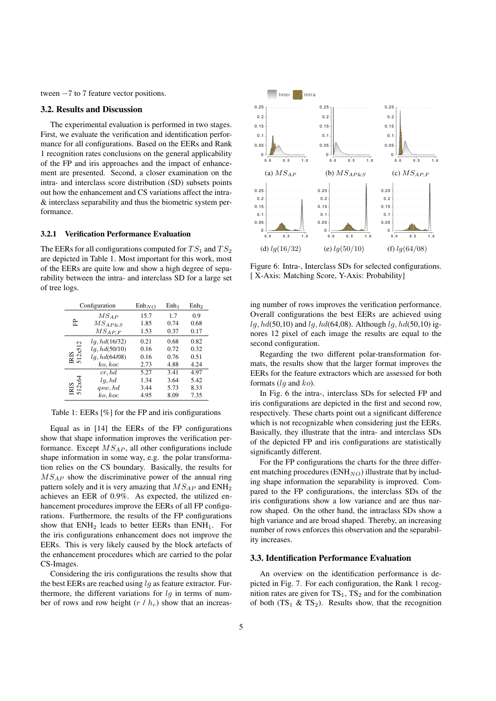tween −7 to 7 feature vector positions.

#### 3.2. Results and Discussion

The experimental evaluation is performed in two stages. First, we evaluate the verification and identification performance for all configurations. Based on the EERs and Rank 1 recognition rates conclusions on the general applicability of the FP and iris approaches and the impact of enhancement are presented. Second, a closer examination on the intra- and interclass score distribution (SD) subsets points out how the enhancement and CS variations affect the intra- & interclass separability and thus the biometric system performance.

#### 3.2.1 Verification Performance Evaluation

The EERs for all configurations computed for  $TS_1$  and  $TS_2$ are depicted in Table 1. Most important for this work, most of the EERs are quite low and show a high degree of separability between the intra- and interclass SD for a large set of tree logs.

| Configuration   |               | $\text{Enh}_{NO}$ | Enh <sub>1</sub> | Enh <sub>2</sub> |
|-----------------|---------------|-------------------|------------------|------------------|
| 岊               | $MS_{AP}$     | 15.7              | 17               | 0.9              |
|                 | $MS_{AP\&S}$  | 1.85              | 0.74             | 0.68             |
|                 | $MS_{AP.F}$   | 1.53              | 0.37             | 0.17             |
| IRIS<br>512x512 | lq, hd(16/32) | 0.21              | 0.68             | 0.82             |
|                 | lq, hd(50/10) | 0.16              | 0.72             | 0.32             |
|                 | lq, hd(64/08) | 0.16              | 0.76             | 0.51             |
|                 | ko, koc       | 2.73              | 4.88             | 4.24             |
| IRIS<br>512x64  | $cr$ , $hd$   | 5.27              | 3.41             | 4.97             |
|                 | lq, hd        | 1.34              | 3.64             | 5.42             |
|                 | qsw, hd       | 3.44              | 5.73             | 8.33             |
|                 | ko,koc        | 4.95              | 8.09             | 7.35             |

Table 1: EERs [%] for the FP and iris configurations

Equal as in [14] the EERs of the FP configurations show that shape information improves the verification performance. Except  $MS_{AP}$ , all other configurations include shape information in some way, e.g. the polar transformation relies on the CS boundary. Basically, the results for  $MS_{AP}$  show the discriminative power of the annual ring pattern solely and it is very amazing that  $MS_{AP}$  and  $ENH<sub>2</sub>$ achieves an EER of 0.9%. As expected, the utilized enhancement procedures improve the EERs of all FP configurations. Furthermore, the results of the FP configurations show that  $ENH_2$  leads to better EERs than  $ENH_1$ . For the iris configurations enhancement does not improve the EERs. This is very likely caused by the block artefacts of the enhancement procedures which are carried to the polar CS-Images.

Considering the iris configurations the results show that the best EERs are reached using  $lg$  as feature extractor. Furthermore, the different variations for  $lg$  in terms of number of rows and row height  $(r / h_r)$  show that an increas-



Figure 6: Intra-, Interclass SDs for selected configurations. [ X-Axis: Matching Score, Y-Axis: Probability]

ing number of rows improves the verification performance. Overall configurations the best EERs are achieved using  $lq$ ,  $hd(50,10)$  and  $lq$ ,  $hd(64,08)$ . Although  $lq$ ,  $hd(50,10)$  ignores 12 pixel of each image the results are equal to the second configuration.

Regarding the two different polar-transformation formats, the results show that the larger format improves the EERs for the feature extractors which are assessed for both formats  $(lq$  and  $ko)$ .

In Fig. 6 the intra-, interclass SDs for selected FP and iris configurations are depicted in the first and second row, respectively. These charts point out a significant difference which is not recognizable when considering just the EERs. Basically, they illustrate that the intra- and interclass SDs of the depicted FP and iris configurations are statistically significantly different.

For the FP configurations the charts for the three different matching procedures ( $ENH_{NO}$ ) illustrate that by including shape information the separability is improved. Compared to the FP configurations, the interclass SDs of the iris configurations show a low variance and are thus narrow shaped. On the other hand, the intraclass SDs show a high variance and are broad shaped. Thereby, an increasing number of rows enforces this observation and the separability increases.

#### 3.3. Identification Performance Evaluation

An overview on the identification performance is depicted in Fig. 7. For each configuration, the Rank 1 recognition rates are given for  $TS_1$ ,  $TS_2$  and for the combination of both  $(TS_1 \& TS_2)$ . Results show, that the recognition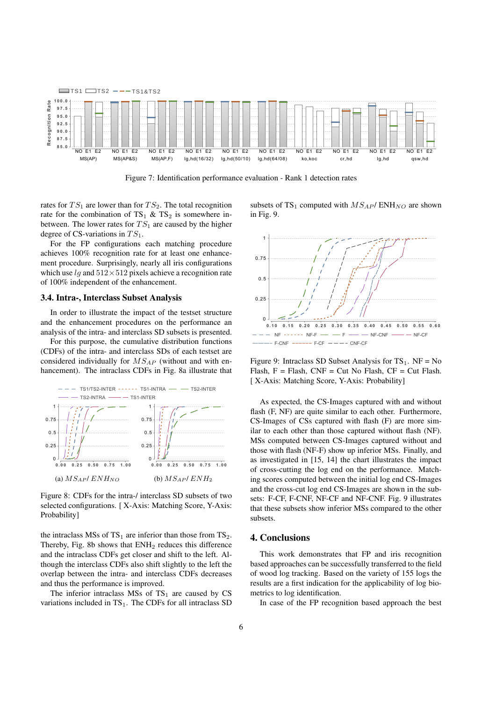

Figure 7: Identification performance evaluation - Rank 1 detection rates

rates for  $TS_1$  are lower than for  $TS_2$ . The total recognition rate for the combination of  $TS_1 \& TS_2$  is somewhere inbetween. The lower rates for  $TS_1$  are caused by the higher degree of CS-variations in  $TS_1$ .

For the FP configurations each matching procedure achieves 100% recognition rate for at least one enhancement procedure. Surprisingly, nearly all iris configurations which use  $lg$  and  $512 \times 512$  pixels achieve a recognition rate of 100% independent of the enhancement.

#### 3.4. Intra-, Interclass Subset Analysis

In order to illustrate the impact of the testset structure and the enhancement procedures on the performance an analysis of the intra- and interclass SD subsets is presented.

For this purpose, the cumulative distribution functions (CDFs) of the intra- and interclass SDs of each testset are considered individually for  $MS_{AP}$  (without and with enhancement). The intraclass CDFs in Fig. 8a illustrate that



Figure 8: CDFs for the intra-/ interclass SD subsets of two selected configurations. [ X-Axis: Matching Score, Y-Axis: Probability]

the intraclass MSs of  $TS_1$  are inferior than those from  $TS_2$ . Thereby, Fig. 8b shows that  $ENH<sub>2</sub>$  reduces this difference and the intraclass CDFs get closer and shift to the left. Although the interclass CDFs also shift slightly to the left the overlap between the intra- and interclass CDFs decreases and thus the performance is improved.

The inferior intraclass  $MSs$  of  $TS_1$  are caused by CS variations included in  $TS_1$ . The CDFs for all intraclass SD

subsets of TS<sub>1</sub> computed with  $MS_{AP}$ / ENH<sub>NO</sub> are shown in Fig. 9.



Figure 9: Intraclass SD Subset Analysis for  $TS_1$ . NF = No Flash,  $F =$  Flash,  $CNF =$  Cut No Flash,  $CF =$  Cut Flash. [ X-Axis: Matching Score, Y-Axis: Probability]

As expected, the CS-Images captured with and without flash (F, NF) are quite similar to each other. Furthermore, CS-Images of CSs captured with flash (F) are more similar to each other than those captured without flash (NF). MSs computed between CS-Images captured without and those with flash (NF-F) show up inferior MSs. Finally, and as investigated in [15, 14] the chart illustrates the impact of cross- cutting the log end on the performance. Matching scores computed between the initial log end CS- Images and the cross-cut log end CS-Images are shown in the subsets: F-CF, F-CNF, NF-CF and NF-CNF. Fig. 9 illustrates that these subsets show inferior MSs compared to the other subsets.

#### 4. Conclusions

This work demonstrates that FP and iris recognition based approaches can be successfully transferred to the field of wood log tracking. Based on the variety of 155 logs the results are a first indication for the applicability of log biometrics to log identification.

In case of the FP recognition based approach the best